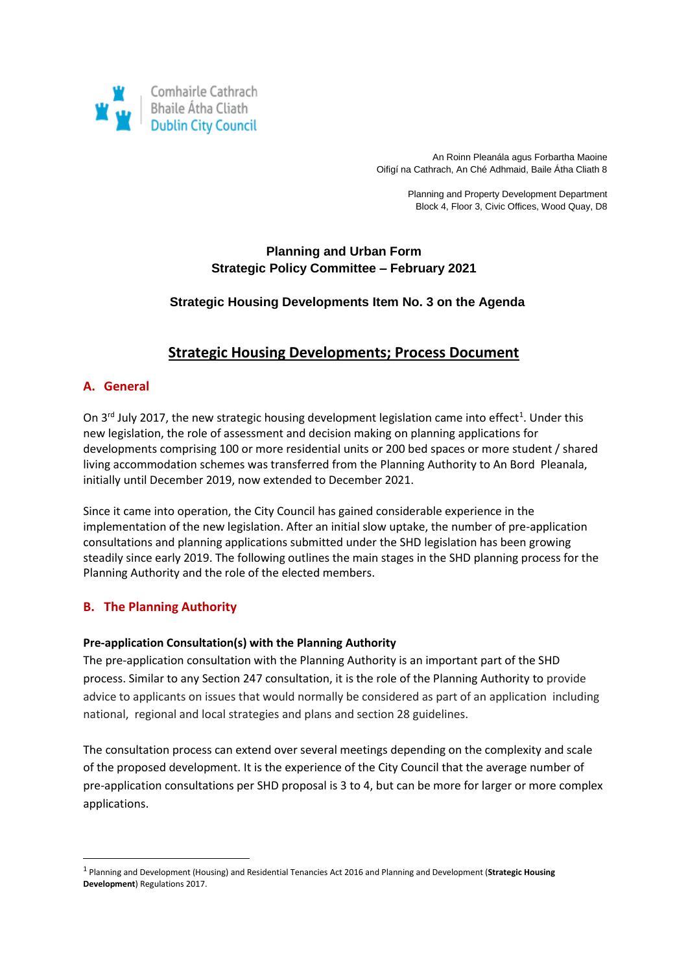

An Roinn Pleanála agus Forbartha Maoine Oifigí na Cathrach, An Ché Adhmaid, Baile Átha Cliath 8

> Planning and Property Development Department Block 4, Floor 3, Civic Offices, Wood Quay, D8

## **Planning and Urban Form Strategic Policy Committee – February 2021**

## **Strategic Housing Developments Item No. 3 on the Agenda**

# **Strategic Housing Developments; Process Document**

## **A. General**

On 3<sup>rd</sup> July 2017, the new strategic housing development legislation came into effect<sup>1</sup>. Under this new legislation, the role of assessment and decision making on planning applications for developments comprising 100 or more residential units or 200 bed spaces or more student / shared living accommodation schemes was transferred from the Planning Authority to An Bord Pleanala, initially until December 2019, now extended to December 2021.

Since it came into operation, the City Council has gained considerable experience in the implementation of the new legislation. After an initial slow uptake, the number of pre-application consultations and planning applications submitted under the SHD legislation has been growing steadily since early 2019. The following outlines the main stages in the SHD planning process for the Planning Authority and the role of the elected members.

## **B. The Planning Authority**

**.** 

### **Pre-application Consultation(s) with the Planning Authority**

The pre-application consultation with the Planning Authority is an important part of the SHD process. Similar to any Section 247 consultation, it is the role of the Planning Authority to provide advice to applicants on issues that would normally be considered as part of an application including national, regional and local strategies and plans and section 28 guidelines.

The consultation process can extend over several meetings depending on the complexity and scale of the proposed development. It is the experience of the City Council that the average number of pre-application consultations per SHD proposal is 3 to 4, but can be more for larger or more complex applications.

<sup>1</sup> Planning and Development (Housing) and Residential Tenancies Act 2016 and Planning and Development (**Strategic Housing Development**) Regulations 2017.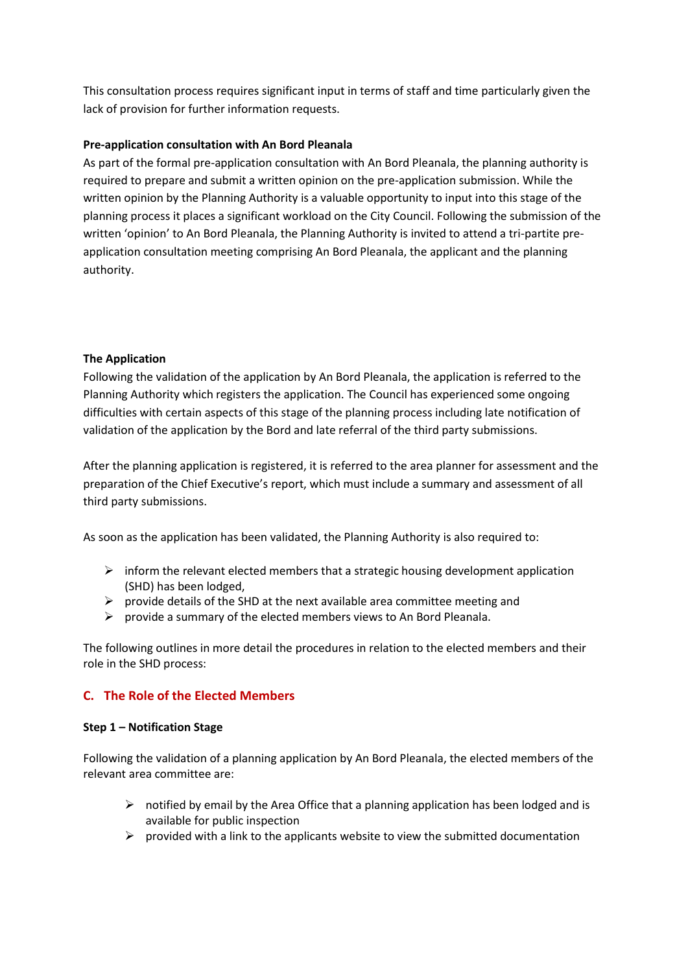This consultation process requires significant input in terms of staff and time particularly given the lack of provision for further information requests.

## **Pre-application consultation with An Bord Pleanala**

As part of the formal pre-application consultation with An Bord Pleanala, the planning authority is required to prepare and submit a written opinion on the pre-application submission. While the written opinion by the Planning Authority is a valuable opportunity to input into this stage of the planning process it places a significant workload on the City Council. Following the submission of the written 'opinion' to An Bord Pleanala, the Planning Authority is invited to attend a tri-partite preapplication consultation meeting comprising An Bord Pleanala, the applicant and the planning authority.

### **The Application**

Following the validation of the application by An Bord Pleanala, the application is referred to the Planning Authority which registers the application. The Council has experienced some ongoing difficulties with certain aspects of this stage of the planning process including late notification of validation of the application by the Bord and late referral of the third party submissions.

After the planning application is registered, it is referred to the area planner for assessment and the preparation of the Chief Executive's report, which must include a summary and assessment of all third party submissions.

As soon as the application has been validated, the Planning Authority is also required to:

- $\triangleright$  inform the relevant elected members that a strategic housing development application (SHD) has been lodged,
- $\triangleright$  provide details of the SHD at the next available area committee meeting and
- $\triangleright$  provide a summary of the elected members views to An Bord Pleanala.

The following outlines in more detail the procedures in relation to the elected members and their role in the SHD process:

## **C. The Role of the Elected Members**

### **Step 1 – Notification Stage**

Following the validation of a planning application by An Bord Pleanala, the elected members of the relevant area committee are:

- $\triangleright$  notified by email by the Area Office that a planning application has been lodged and is available for public inspection
- $\triangleright$  provided with a link to the applicants website to view the submitted documentation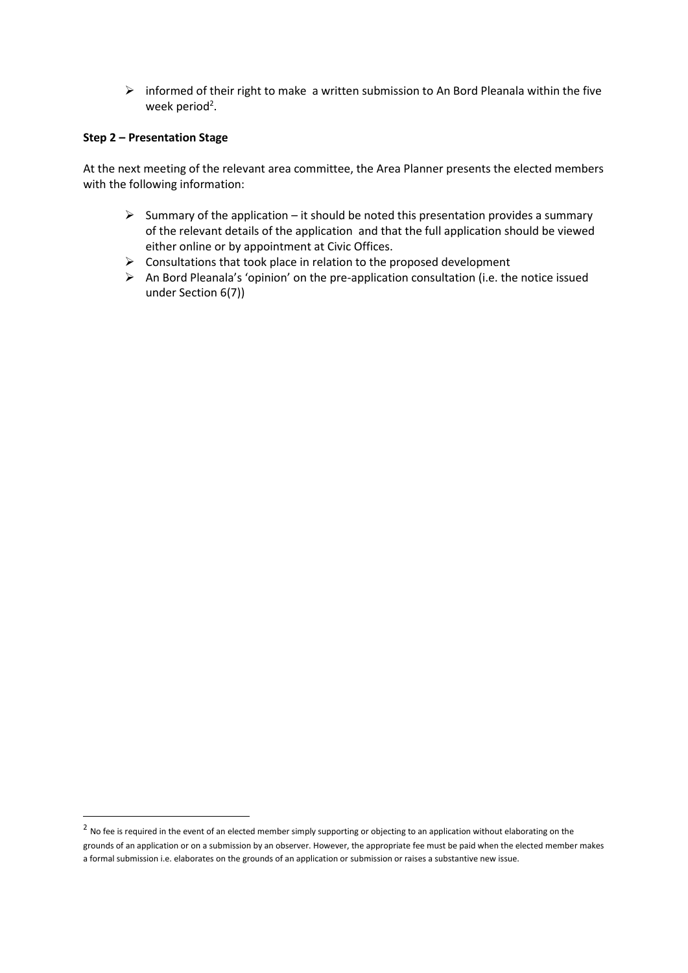$\triangleright$  informed of their right to make a written submission to An Bord Pleanala within the five week period<sup>2</sup>.

### **Step 2 – Presentation Stage**

1

At the next meeting of the relevant area committee, the Area Planner presents the elected members with the following information:

- $\triangleright$  Summary of the application it should be noted this presentation provides a summary of the relevant details of the application and that the full application should be viewed either online or by appointment at Civic Offices.
- $\triangleright$  Consultations that took place in relation to the proposed development
- $\triangleright$  An Bord Pleanala's 'opinion' on the pre-application consultation (i.e. the notice issued under Section 6(7))

 $^2$  No fee is required in the event of an elected member simply supporting or objecting to an application without elaborating on the grounds of an application or on a submission by an observer. However, the appropriate fee must be paid when the elected member makes a formal submission i.e. elaborates on the grounds of an application or submission or raises a substantive new issue.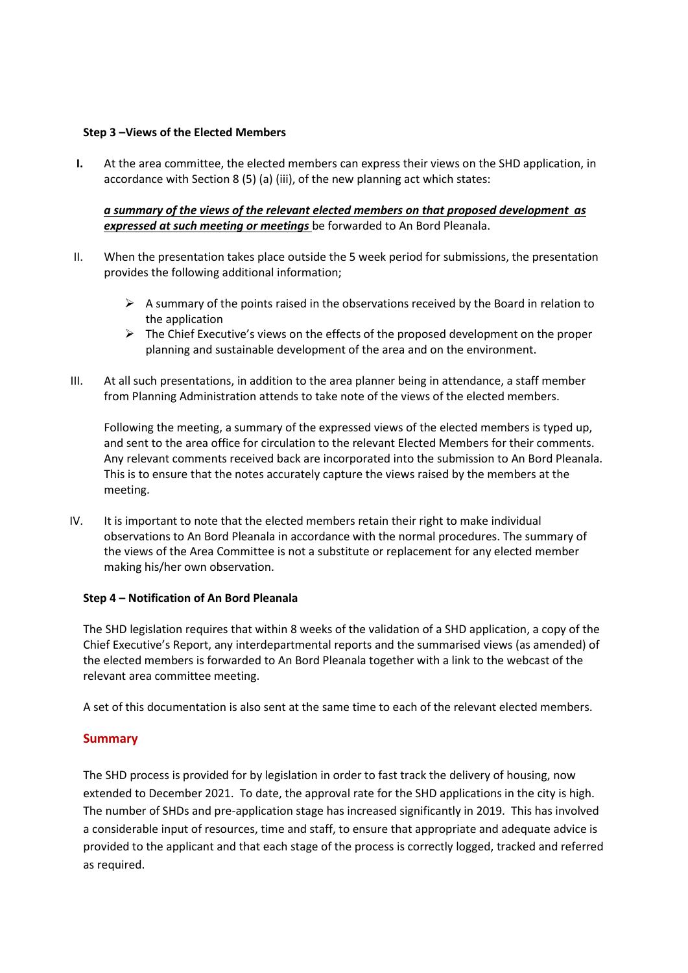### **Step 3 –Views of the Elected Members**

**I.** At the area committee, the elected members can express their views on the SHD application, in accordance with Section 8 (5) (a) (iii), of the new planning act which states:

*a summary of the views of the relevant elected members on that proposed development as expressed at such meeting or meetings* be forwarded to An Bord Pleanala.

- II. When the presentation takes place outside the 5 week period for submissions, the presentation provides the following additional information;
	- $\triangleright$  A summary of the points raised in the observations received by the Board in relation to the application
	- $\triangleright$  The Chief Executive's views on the effects of the proposed development on the proper planning and sustainable development of the area and on the environment.
- III. At all such presentations, in addition to the area planner being in attendance, a staff member from Planning Administration attends to take note of the views of the elected members.

Following the meeting, a summary of the expressed views of the elected members is typed up, and sent to the area office for circulation to the relevant Elected Members for their comments. Any relevant comments received back are incorporated into the submission to An Bord Pleanala. This is to ensure that the notes accurately capture the views raised by the members at the meeting.

IV. It is important to note that the elected members retain their right to make individual observations to An Bord Pleanala in accordance with the normal procedures. The summary of the views of the Area Committee is not a substitute or replacement for any elected member making his/her own observation.

#### **Step 4 – Notification of An Bord Pleanala**

The SHD legislation requires that within 8 weeks of the validation of a SHD application, a copy of the Chief Executive's Report, any interdepartmental reports and the summarised views (as amended) of the elected members is forwarded to An Bord Pleanala together with a link to the webcast of the relevant area committee meeting.

A set of this documentation is also sent at the same time to each of the relevant elected members.

### **Summary**

The SHD process is provided for by legislation in order to fast track the delivery of housing, now extended to December 2021. To date, the approval rate for the SHD applications in the city is high. The number of SHDs and pre-application stage has increased significantly in 2019. This has involved a considerable input of resources, time and staff, to ensure that appropriate and adequate advice is provided to the applicant and that each stage of the process is correctly logged, tracked and referred as required.